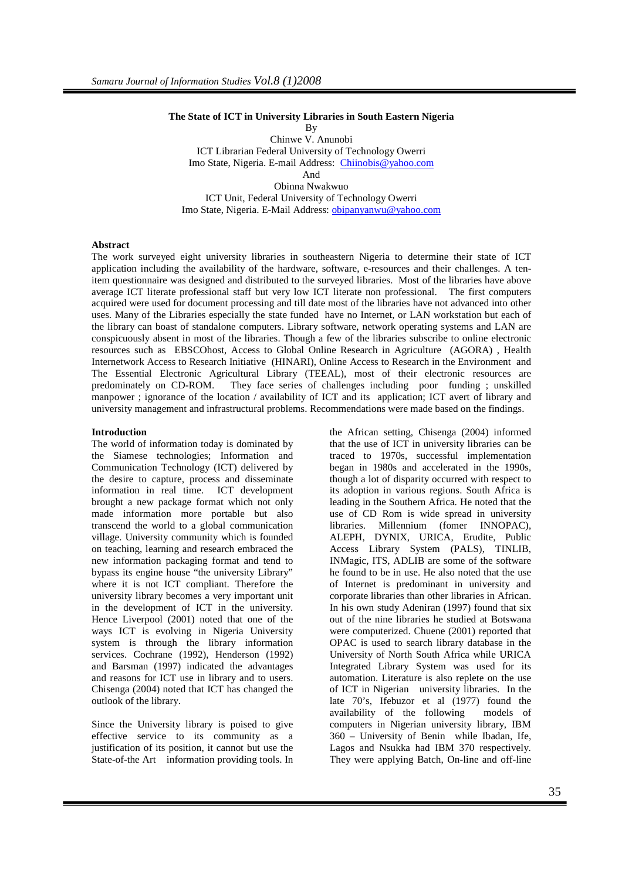#### **The State of ICT in University Libraries in South Eastern Nigeria**

By Chinwe V. Anunobi ICT Librarian Federal University of Technology Owerri Imo State, Nigeria. E-mail Address: Chiinobis@yahoo.com And Obinna Nwakwuo ICT Unit, Federal University of Technology Owerri Imo State, Nigeria. E-Mail Address: obipanyanwu@yahoo.com

## **Abstract**

The work surveyed eight university libraries in southeastern Nigeria to determine their state of ICT application including the availability of the hardware, software, e-resources and their challenges. A tenitem questionnaire was designed and distributed to the surveyed libraries. Most of the libraries have above average ICT literate professional staff but very low ICT literate non professional. The first computers acquired were used for document processing and till date most of the libraries have not advanced into other uses. Many of the Libraries especially the state funded have no Internet, or LAN workstation but each of the library can boast of standalone computers. Library software, network operating systems and LAN are conspicuously absent in most of the libraries. Though a few of the libraries subscribe to online electronic resources such as EBSCOhost, Access to Global Online Research in Agriculture (AGORA) , Health Internetwork Access to Research Initiative (HINARI), Online Access to Research in the Environment and The Essential Electronic Agricultural Library (TEEAL), most of their electronic resources are predominately on CD-ROM. They face series of challenges including poor funding ; unskilled manpower ; ignorance of the location / availability of ICT and its application; ICT avert of library and university management and infrastructural problems. Recommendations were made based on the findings.

## **Introduction**

The world of information today is dominated by the Siamese technologies; Information and Communication Technology (ICT) delivered by the desire to capture, process and disseminate information in real time. ICT development brought a new package format which not only made information more portable but also transcend the world to a global communication village. University community which is founded on teaching, learning and research embraced the new information packaging format and tend to bypass its engine house "the university Library" where it is not ICT compliant. Therefore the university library becomes a very important unit in the development of ICT in the university. Hence Liverpool (2001) noted that one of the ways ICT is evolving in Nigeria University system is through the library information services. Cochrane (1992), Henderson (1992) and Barsman (1997) indicated the advantages and reasons for ICT use in library and to users. Chisenga (2004) noted that ICT has changed the outlook of the library.

Since the University library is poised to give effective service to its community as a justification of its position, it cannot but use the State-of-the Art information providing tools. In the African setting, Chisenga (2004) informed that the use of ICT in university libraries can be traced to 1970s, successful implementation began in 1980s and accelerated in the 1990s, though a lot of disparity occurred with respect to its adoption in various regions. South Africa is leading in the Southern Africa. He noted that the use of CD Rom is wide spread in university libraries. Millennium (fomer INNOPAC), ALEPH, DYNIX, URICA, Erudite, Public Access Library System (PALS), TINLIB, INMagic, ITS, ADLIB are some of the software he found to be in use. He also noted that the use of Internet is predominant in university and corporate libraries than other libraries in African. In his own study Adeniran (1997) found that six out of the nine libraries he studied at Botswana were computerized. Chuene (2001) reported that OPAC is used to search library database in the University of North South Africa while URICA Integrated Library System was used for its automation. Literature is also replete on the use of ICT in Nigerian university libraries. In the late 70's, Ifebuzor et al (1977) found the availability of the following models of computers in Nigerian university library, IBM 360 – University of Benin while Ibadan, Ife, Lagos and Nsukka had IBM 370 respectively. They were applying Batch, On-line and off-line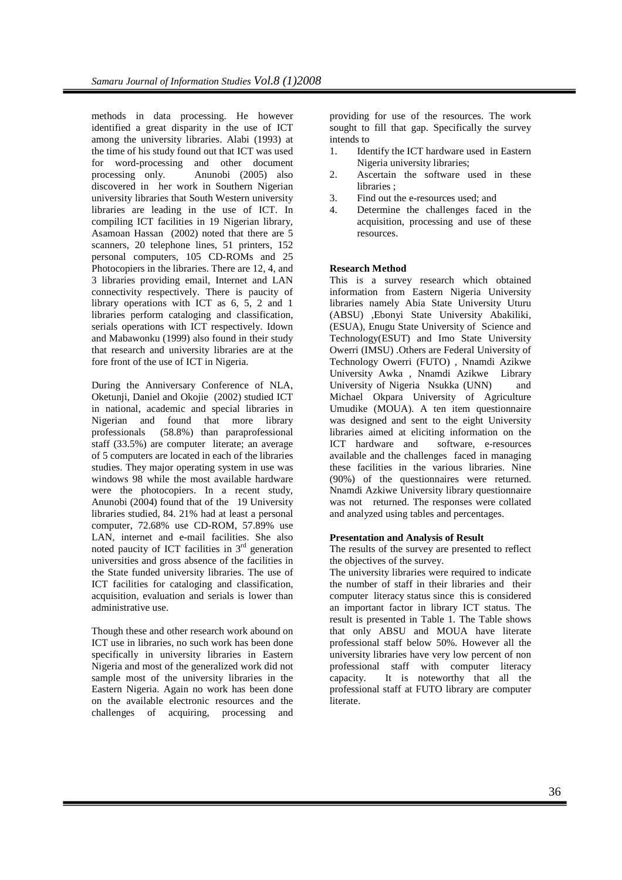methods in data processing. He however identified a great disparity in the use of ICT among the university libraries. Alabi (1993) at the time of his study found out that ICT was used for word-processing and other document processing only. Anunobi (2005) also discovered in her work in Southern Nigerian university libraries that South Western university libraries are leading in the use of ICT. In compiling ICT facilities in 19 Nigerian library, Asamoan Hassan (2002) noted that there are 5 scanners, 20 telephone lines, 51 printers, 152 personal computers, 105 CD-ROMs and 25 Photocopiers in the libraries. There are 12, 4, and 3 libraries providing email, Internet and LAN connectivity respectively. There is paucity of library operations with ICT as 6, 5, 2 and 1 libraries perform cataloging and classification, serials operations with ICT respectively. Idown and Mabawonku (1999) also found in their study that research and university libraries are at the fore front of the use of ICT in Nigeria.

During the Anniversary Conference of NLA, Oketunji, Daniel and Okojie (2002) studied ICT in national, academic and special libraries in Nigerian and found that more library professionals (58.8%) than paraprofessional staff (33.5%) are computer literate; an average of 5 computers are located in each of the libraries studies. They major operating system in use was windows 98 while the most available hardware were the photocopiers. In a recent study, Anunobi (2004) found that of the 19 University libraries studied, 84. 21% had at least a personal computer, 72.68% use CD-ROM, 57.89% use LAN, internet and e-mail facilities. She also noted paucity of ICT facilities in  $3<sup>rd</sup>$  generation universities and gross absence of the facilities in the State funded university libraries. The use of ICT facilities for cataloging and classification, acquisition, evaluation and serials is lower than administrative use.

Though these and other research work abound on ICT use in libraries, no such work has been done specifically in university libraries in Eastern Nigeria and most of the generalized work did not sample most of the university libraries in the Eastern Nigeria. Again no work has been done on the available electronic resources and the challenges of acquiring, processing and

providing for use of the resources. The work sought to fill that gap. Specifically the survey intends to

- 1. Identify the ICT hardware used in Eastern Nigeria university libraries;
- 2. Ascertain the software used in these libraries :
- 3. Find out the e-resources used; and
- 4. Determine the challenges faced in the acquisition, processing and use of these resources.

#### **Research Method**

This is a survey research which obtained information from Eastern Nigeria University libraries namely Abia State University Uturu (ABSU) ,Ebonyi State University Abakiliki, (ESUA), Enugu State University of Science and Technology(ESUT) and Imo State University Owerri (IMSU) .Others are Federal University of Technology Owerri (FUTO) , Nnamdi Azikwe University Awka , Nnamdi Azikwe Library University of Nigeria Nsukka (UNN) and Michael Okpara University of Agriculture Umudike (MOUA). A ten item questionnaire was designed and sent to the eight University libraries aimed at eliciting information on the ICT hardware and software, e-resources available and the challenges faced in managing these facilities in the various libraries. Nine (90%) of the questionnaires were returned. Nnamdi Azkiwe University library questionnaire was not returned. The responses were collated and analyzed using tables and percentages.

#### **Presentation and Analysis of Result**

The results of the survey are presented to reflect the objectives of the survey.

The university libraries were required to indicate the number of staff in their libraries and their computer literacy status since this is considered an important factor in library ICT status. The result is presented in Table 1. The Table shows that only ABSU and MOUA have literate professional staff below 50%. However all the university libraries have very low percent of non professional staff with computer literacy capacity. It is noteworthy that all the professional staff at FUTO library are computer literate.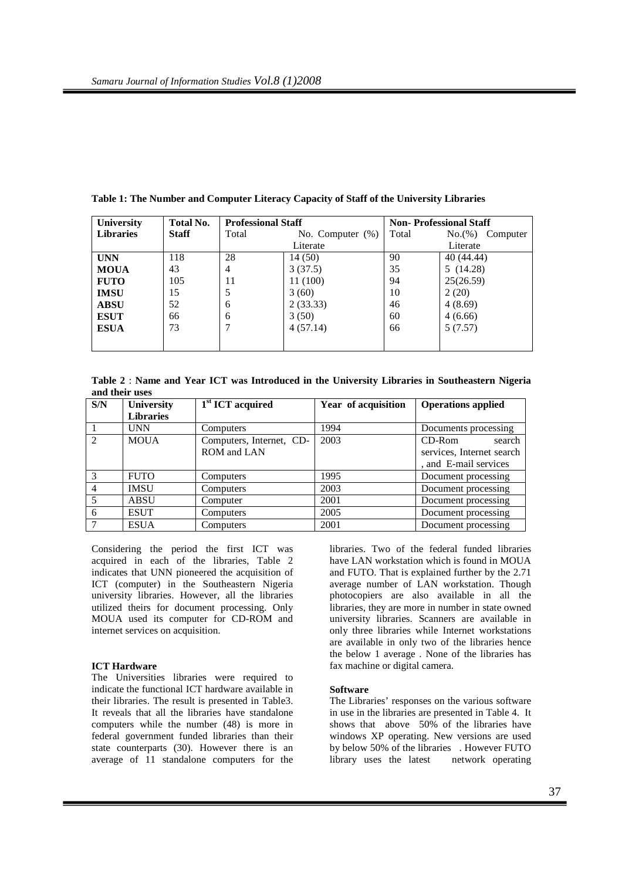| <b>University</b> | Total No.    | <b>Professional Staff</b> |                     | <b>Non-Professional Staff</b> |                    |  |  |
|-------------------|--------------|---------------------------|---------------------|-------------------------------|--------------------|--|--|
| <b>Libraries</b>  | <b>Staff</b> | Total                     | No. Computer $(\%)$ | Total                         | No.(%)<br>Computer |  |  |
|                   |              |                           | Literate            | Literate                      |                    |  |  |
| <b>UNN</b>        | 118          | 28                        | 14 (50)             | 90                            | 40 (44.44)         |  |  |
| <b>MOUA</b>       | 43           | 4                         | 3(37.5)             | 35                            | 5(14.28)           |  |  |
| <b>FUTO</b>       | 105          | 11                        | 11 (100)            | 94                            | 25(26.59)          |  |  |
| <b>IMSU</b>       | 15           |                           | 3(60)               | 10                            | 2(20)              |  |  |
| <b>ABSU</b>       | 52           | 6                         | 2(33.33)            | 46                            | 4(8.69)            |  |  |
| <b>ESUT</b>       | 66           | 6                         | 3(50)               | 60                            | 4(6.66)            |  |  |
| <b>ESUA</b>       | 73           | 4(57.14)<br>7             |                     | 66                            | 5(7.57)            |  |  |
|                   |              |                           |                     |                               |                    |  |  |

## **Table 1: The Number and Computer Literacy Capacity of Staff of the University Libraries**

**Table 2** : **Name and Year ICT was Introduced in the University Libraries in Southeastern Nigeria and their uses** 

| S/N           | <b>University</b> | $1st$ ICT acquired       | Year of acquisition | <b>Operations applied</b> |  |  |
|---------------|-------------------|--------------------------|---------------------|---------------------------|--|--|
|               | <b>Libraries</b>  |                          |                     |                           |  |  |
|               | <b>UNN</b>        | Computers                | 1994                | Documents processing      |  |  |
| $\mathcal{D}$ | <b>MOUA</b>       | Computers, Internet, CD- | 2003                | $CD-Rom$<br>search        |  |  |
|               |                   | ROM and LAN              |                     | services, Internet search |  |  |
|               |                   |                          |                     | , and E-mail services     |  |  |
| 3             | <b>FUTO</b>       | Computers                | 1995                | Document processing       |  |  |
| 4             | <b>IMSU</b>       | Computers                | 2003                | Document processing       |  |  |
| 5             | ABSU              | Computer                 | 2001                | Document processing       |  |  |
| 6             | <b>ESUT</b>       | Computers                | 2005                | Document processing       |  |  |
|               | <b>ESUA</b>       | Computers                | 2001                | Document processing       |  |  |

Considering the period the first ICT was acquired in each of the libraries, Table 2 indicates that UNN pioneered the acquisition of ICT (computer) in the Southeastern Nigeria university libraries. However, all the libraries utilized theirs for document processing. Only MOUA used its computer for CD-ROM and internet services on acquisition.

#### **ICT Hardware**

The Universities libraries were required to indicate the functional ICT hardware available in their libraries. The result is presented in Table3. It reveals that all the libraries have standalone computers while the number (48) is more in federal government funded libraries than their state counterparts (30). However there is an average of 11 standalone computers for the

libraries. Two of the federal funded libraries have LAN workstation which is found in MOUA and FUTO. That is explained further by the 2.71 average number of LAN workstation. Though photocopiers are also available in all the libraries, they are more in number in state owned university libraries. Scanners are available in only three libraries while Internet workstations are available in only two of the libraries hence the below 1 average . None of the libraries has fax machine or digital camera.

#### **Software**

The Libraries' responses on the various software in use in the libraries are presented in Table 4. It shows that above 50% of the libraries have windows XP operating. New versions are used by below 50% of the libraries . However FUTO library uses the latest network operating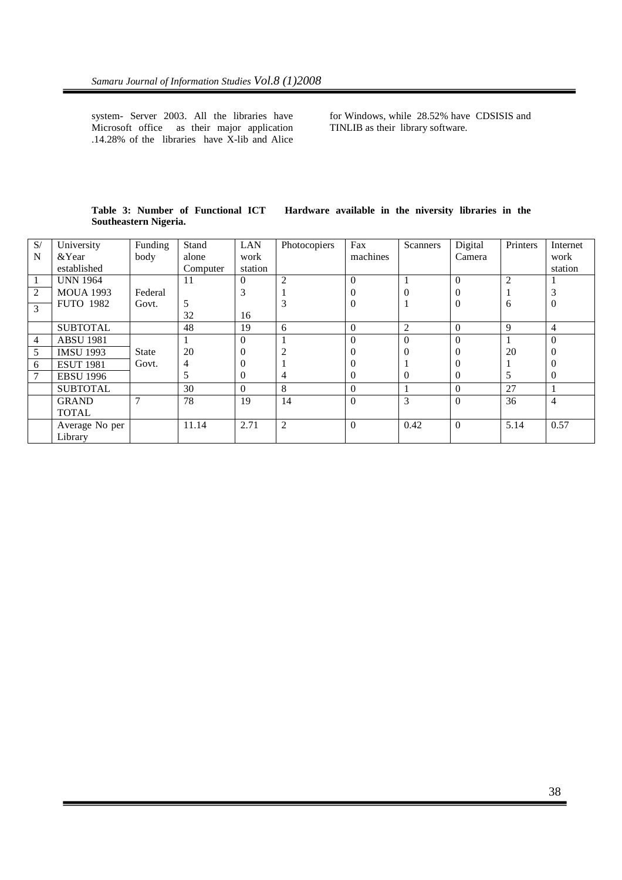system- Server 2003. All the libraries have Microsoft office as their major application .14.28% of the libraries have X-lib and Alice

for Windows, while 28.52% have CDSISIS and TINLIB as their library software.

|                       |  |  | Table 3: Number of Functional ICT |  | Hardware available in the niversity libraries in the |  |  |  |  |  |  |
|-----------------------|--|--|-----------------------------------|--|------------------------------------------------------|--|--|--|--|--|--|
| Southeastern Nigeria. |  |  |                                   |  |                                                      |  |  |  |  |  |  |

| S/             | University       | Funding      | Stand    | LAN            | Photocopiers   | Fax          | Scanners       | Digital  | Printers       | Internet |
|----------------|------------------|--------------|----------|----------------|----------------|--------------|----------------|----------|----------------|----------|
| N              | & Year           | body         | alone    | work           |                | machines     |                | Camera   |                | work     |
|                | established      |              | Computer | station        |                |              |                |          |                | station  |
| $\mathbf{1}$   | <b>UNN 1964</b>  |              | 11       | $\theta$       | $\overline{2}$ | $\Omega$     |                | $\Omega$ | $\overline{2}$ |          |
| 2              | <b>MOUA 1993</b> | Federal      |          | 3              |                | v            | 0              | $\theta$ |                | 3        |
| 3              | <b>FUTO 1982</b> | Govt.        | 5        |                | 3              | $\mathbf{U}$ |                | $\Omega$ | 6              | 0        |
|                |                  |              | 32       | 16             |                |              |                |          |                |          |
|                | <b>SUBTOTAL</b>  |              | 48       | 19             | 6              | $\Omega$     | $\overline{2}$ | $\Omega$ | 9              | 4        |
| $\overline{4}$ | <b>ABSU 1981</b> |              |          | $\Omega$       |                | $\Omega$     | $\theta$       | $\Omega$ |                | $\theta$ |
| 5              | <b>IMSU 1993</b> | <b>State</b> | 20       | $\overline{0}$ |                |              | 0              | O        | 20             | 0        |
| 6              | <b>ESUT 1981</b> | Govt.        | 4        | $\theta$       |                |              |                |          |                |          |
| $\tau$         | <b>EBSU 1996</b> |              | 5        | $\theta$       | 4              | $\Omega$     | $\Omega$       | $\Omega$ | 5              | 0        |
|                | <b>SUBTOTAL</b>  |              | 30       | $\Omega$       | 8              | $\Omega$     |                | $\Omega$ | 27             |          |
|                | <b>GRAND</b>     | 7            | 78       | 19             | 14             | $\Omega$     | 3              | $\Omega$ | 36             | 4        |
|                | <b>TOTAL</b>     |              |          |                |                |              |                |          |                |          |
|                | Average No per   |              | 11.14    | 2.71           | $\overline{2}$ | $\Omega$     | 0.42           | $\theta$ | 5.14           | 0.57     |
|                | Library          |              |          |                |                |              |                |          |                |          |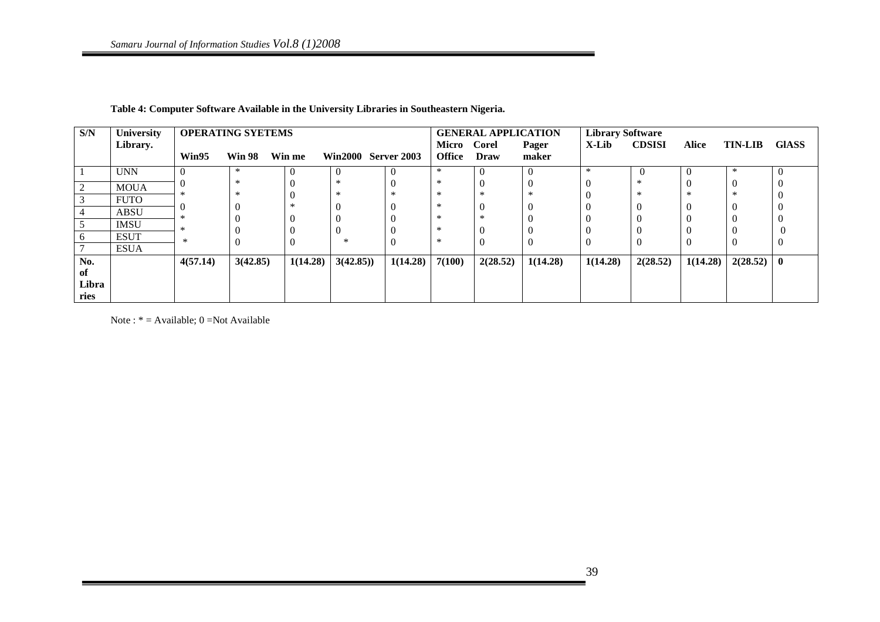| S/N   | University  |          | <b>OPERATING SYETEMS</b> |          |                            |          | <b>GENERAL APPLICATION</b> |             |          | <b>Library Software</b> |                |              |                |       |
|-------|-------------|----------|--------------------------|----------|----------------------------|----------|----------------------------|-------------|----------|-------------------------|----------------|--------------|----------------|-------|
|       | Library.    |          |                          |          |                            |          | Micro Corel                |             | Pager    | X-Lib                   | <b>CDSISI</b>  | <b>Alice</b> | <b>TIN-LIB</b> | GIASS |
|       |             | Win95    | <b>Win 98</b>            | Win me   | <b>Win2000 Server 2003</b> |          | <b>Office</b>              | <b>Draw</b> | maker    |                         |                |              |                |       |
|       | <b>UNN</b>  |          | ∗                        |          | $\theta$                   |          | $\ast$                     |             | $\Omega$ | $\ast$                  | $\overline{ }$ | 0            | $\ast$         |       |
|       | <b>MOUA</b> |          | $\ast$                   |          | $\ast$                     |          | ∗                          |             | v        |                         | ∗              | 0            |                |       |
|       | <b>FUTO</b> |          | $\ast$                   |          | $\ast$                     | ∗        | ∗                          |             | $\ast$   |                         | ∗              | $\ast$       |                |       |
|       | <b>ABSU</b> |          |                          |          |                            |          | ∗                          |             | $\Omega$ |                         |                | 0            |                |       |
|       | <b>IMSU</b> |          |                          |          | $\Omega$                   |          | ∗                          |             | $\Omega$ | $\theta$                |                |              |                |       |
| 6     | <b>ESUT</b> | $\ast$   |                          |          | 0                          |          | ∗                          |             | $\Omega$ |                         |                |              |                |       |
|       | <b>ESUA</b> |          |                          |          | $\ast$                     |          | $\ast$                     |             | $\Omega$ | $\theta$                | v              | U            |                |       |
| No.   |             | 4(57.14) | 3(42.85)                 | 1(14.28) | 3(42.85)                   | 1(14.28) | 7(100)                     | 2(28.52)    | 1(14.28) | 1(14.28)                | 2(28.52)       | 1(14.28)     | $2(28.52)$ 0   |       |
| of    |             |          |                          |          |                            |          |                            |             |          |                         |                |              |                |       |
| Libra |             |          |                          |          |                            |          |                            |             |          |                         |                |              |                |       |
| ries  |             |          |                          |          |                            |          |                            |             |          |                         |                |              |                |       |

**Table 4: Computer Software Available in the University Libraries in Southeastern Nigeria.** 

Note : \* = Available; 0 =Not Available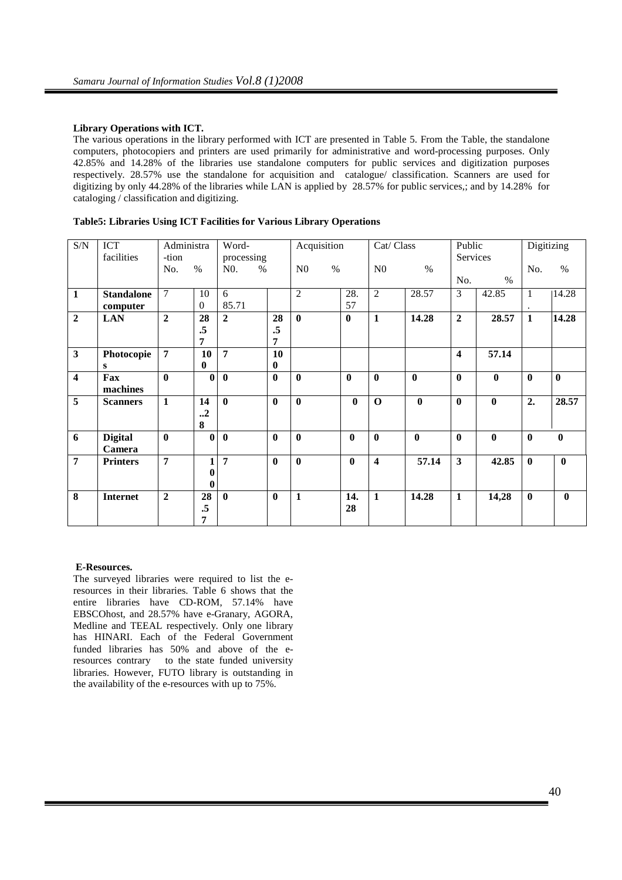## **Library Operations with ICT.**

The various operations in the library performed with ICT are presented in Table 5. From the Table, the standalone computers, photocopiers and printers are used primarily for administrative and word-processing purposes. Only 42.85% and 14.28% of the libraries use standalone computers for public services and digitization purposes respectively. 28.57% use the standalone for acquisition and catalogue/ classification. Scanners are used for digitizing by only 44.28% of the libraries while LAN is applied by 28.57% for public services,; and by 14.28% for cataloging / classification and digitizing.

| $\ensuremath{\mathrm{S/N}}$ | ICT               |                  | Administra       |                | Word-         |                | Acquisition      |                         | Cat/ Class   | Public           |                  | <b>Digitizing</b> |              |
|-----------------------------|-------------------|------------------|------------------|----------------|---------------|----------------|------------------|-------------------------|--------------|------------------|------------------|-------------------|--------------|
|                             | facilities        | -tion            |                  |                | processing    |                |                  |                         |              |                  | Services         |                   |              |
|                             |                   | No.              | $\%$             | N0.            | $\frac{0}{0}$ | N <sub>0</sub> | $\%$             | N <sub>0</sub>          | $\%$         |                  |                  | No.               | $\%$         |
|                             |                   |                  |                  |                |               |                |                  |                         |              | No.              | $\%$             |                   |              |
| $\mathbf{1}$                | <b>Standalone</b> | $\overline{7}$   | 10               | 6              |               | $\overline{2}$ | 28.              | 2                       | 28.57        | 3                | 42.85            | 1                 | 14.28        |
|                             | computer          |                  | $\Omega$         | 85.71          |               |                | 57               |                         |              |                  |                  |                   |              |
| $\boldsymbol{2}$            | <b>LAN</b>        | $\boldsymbol{2}$ | 28               | $\mathbf{2}$   | 28            | $\bf{0}$       | $\boldsymbol{0}$ | $\mathbf{1}$            | 14.28        | $\mathbf{2}$     | 28.57            | $\mathbf{1}$      | 14.28        |
|                             |                   |                  | .5               |                | .5            |                |                  |                         |              |                  |                  |                   |              |
|                             |                   |                  | 7                |                | 7             |                |                  |                         |              |                  |                  |                   |              |
| $\mathbf{3}$                | Photocopie        | $\overline{7}$   | 10               | $\overline{7}$ | 10            |                |                  |                         |              | 4                | 57.14            |                   |              |
|                             | s                 |                  | $\bf{0}$         |                | $\bf{0}$      |                |                  |                         |              |                  |                  |                   |              |
| $\overline{\mathbf{4}}$     | Fax               | $\mathbf{0}$     | $\mathbf{0}$     | $\mathbf{0}$   | $\mathbf{0}$  | $\mathbf{0}$   | $\mathbf{0}$     | $\mathbf{0}$            | $\mathbf{0}$ | $\bf{0}$         | $\mathbf{0}$     | $\bf{0}$          | $\mathbf{0}$ |
|                             | machines          |                  |                  |                |               |                |                  |                         |              |                  |                  |                   |              |
| 5                           | <b>Scanners</b>   | 1                | 14               | $\mathbf{0}$   | $\mathbf{0}$  | $\mathbf{0}$   | $\mathbf{0}$     | $\Omega$                | $\mathbf{0}$ | 0                | $\mathbf{0}$     | 2.                | 28.57        |
|                             |                   |                  | $\cdot$ .2       |                |               |                |                  |                         |              |                  |                  |                   |              |
|                             |                   |                  | 8                |                |               |                |                  |                         |              |                  |                  |                   |              |
| 6                           | <b>Digital</b>    | $\mathbf{0}$     | $\mathbf{0}$     | $\mathbf{0}$   | $\bf{0}$      | $\bf{0}$       | $\mathbf{0}$     | $\bf{0}$                | $\mathbf{0}$ | $\boldsymbol{0}$ | $\boldsymbol{0}$ | $\mathbf{0}$      | $\mathbf{0}$ |
|                             | <b>Camera</b>     |                  |                  |                |               |                |                  |                         |              |                  |                  |                   |              |
| $\overline{7}$              | <b>Printers</b>   | 7                | 1                | $\overline{7}$ | $\mathbf{0}$  | $\mathbf{0}$   | $\mathbf{0}$     | $\overline{\mathbf{4}}$ | 57.14        | 3                | 42.85            | $\mathbf{0}$      | $\bf{0}$     |
|                             |                   |                  | $\boldsymbol{0}$ |                |               |                |                  |                         |              |                  |                  |                   |              |
|                             |                   |                  | $\mathbf{0}$     |                |               |                |                  |                         |              |                  |                  |                   |              |
| 8                           | <b>Internet</b>   | $\boldsymbol{2}$ | 28               | $\mathbf{0}$   | $\mathbf{0}$  | 1              | 14.              | $\mathbf{1}$            | 14.28        | $\mathbf{1}$     | 14,28            | $\bf{0}$          | $\bf{0}$     |
|                             |                   |                  | .5               |                |               |                | 28               |                         |              |                  |                  |                   |              |
|                             |                   |                  | 7                |                |               |                |                  |                         |              |                  |                  |                   |              |

|  |  |  | Table5: Libraries Using ICT Facilities for Various Library Operations |
|--|--|--|-----------------------------------------------------------------------|
|  |  |  |                                                                       |

## **E-Resources.**

The surveyed libraries were required to list the eresources in their libraries. Table 6 shows that the entire libraries have CD-ROM, 57.14% have EBSCOhost, and 28.57% have e-Granary, AGORA, Medline and TEEAL respectively. Only one library has HINARI. Each of the Federal Government funded libraries has 50% and above of the eresources contrary to the state funded university libraries. However, FUTO library is outstanding in the availability of the e-resources with up to 75%.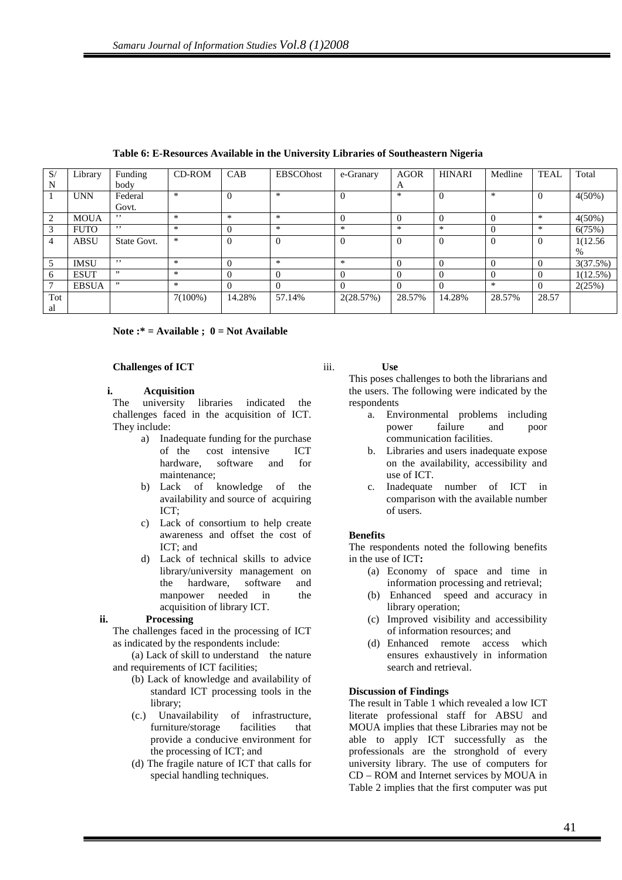| S/<br>N        | Library      | Funding<br>body | CD-ROM     | CAB            | <b>EBSCOhost</b> | e-Granary | <b>AGOR</b> | <b>HINARI</b> | Medline  | <b>TEAL</b> | Total       |
|----------------|--------------|-----------------|------------|----------------|------------------|-----------|-------------|---------------|----------|-------------|-------------|
|                |              |                 |            |                |                  |           | A           |               |          |             |             |
|                | <b>UNN</b>   | Federal         | $\ast$     | $\overline{0}$ | $\ast$           | $\Omega$  | $\ast$      | $\Omega$      | $\ast$   |             | $4(50\%)$   |
|                |              | Govt.           |            |                |                  |           |             |               |          |             |             |
| 2              | <b>MOUA</b>  | , ,             | $\ast$     | $\ast$         | $\ast$           | $\Omega$  | $\Omega$    | $\theta$      |          | $*$         | $4(50\%)$   |
| 3              | <b>FUTO</b>  | , ,             | $\ast$     | $\theta$       | $\ast$           | $\ast$    | $\ast$      | $\ast$        | $\Omega$ | $*$         | 6(75%)      |
| $\overline{4}$ | <b>ABSU</b>  | State Govt.     | $\ast$     | $\Omega$       | $\Omega$         | $\Omega$  | $\Omega$    | $\Omega$      | $\Omega$ |             | 1(12.56)    |
|                |              |                 |            |                |                  |           |             |               |          |             | $\%$        |
| 5              | <b>IMSU</b>  | , ,             | $\ast$     | 0              | $\ast$           | $\ast$    | $\Omega$    | $\Omega$      | $\Omega$ |             | 3(37.5%)    |
| 6              | <b>ESUT</b>  | , 9             | $\ast$     | 0              | $\theta$         | $\Omega$  | $\Omega$    |               |          |             | $1(12.5\%)$ |
| 7              | <b>EBSUA</b> | , ,             | $\ast$     | $\Omega$       | $\theta$         | $\Omega$  | $\Omega$    |               | $\ast$   |             | 2(25%)      |
| Tot            |              |                 | $7(100\%)$ | 14.28%         | 57.14%           | 2(28.57%) | 28.57%      | 14.28%        | 28.57%   | 28.57       |             |
| al             |              |                 |            |                |                  |           |             |               |          |             |             |

**Table 6: E-Resources Available in the University Libraries of Southeastern Nigeria** 

## **Note :\* = Available ; 0 = Not Available**

## **Challenges of ICT**

## **i. Acquisition**

The university libraries indicated the challenges faced in the acquisition of ICT. They include:

- a) Inadequate funding for the purchase of the cost intensive ICT hardware, software and for maintenance;
- b) Lack of knowledge of the availability and source of acquiring ICT;
- c) Lack of consortium to help create awareness and offset the cost of ICT; and
- d) Lack of technical skills to advice library/university management on the hardware, software and manpower needed in the acquisition of library ICT.

# **ii. Processing**

The challenges faced in the processing of ICT as indicated by the respondents include:

(a) Lack of skill to understand the nature and requirements of ICT facilities;

- (b) Lack of knowledge and availability of standard ICT processing tools in the library;
- (c.) Unavailability of infrastructure, furniture/storage facilities that provide a conducive environment for the processing of ICT; and
- (d) The fragile nature of ICT that calls for special handling techniques.

## iii. **Use**

This poses challenges to both the librarians and the users. The following were indicated by the respondents

- a. Environmental problems including power failure and poor communication facilities.
- b. Libraries and users inadequate expose on the availability, accessibility and use of ICT.
- c. Inadequate number of ICT in comparison with the available number of users.

# **Benefits**

The respondents noted the following benefits in the use of ICT**:** 

- (a) Economy of space and time in information processing and retrieval;
- (b) Enhanced speed and accuracy in library operation;
- (c) Improved visibility and accessibility of information resources; and
- (d) Enhanced remote access which ensures exhaustively in information search and retrieval.

# **Discussion of Findings**

The result in Table 1 which revealed a low ICT literate professional staff for ABSU and MOUA implies that these Libraries may not be able to apply ICT successfully as the professionals are the stronghold of every university library. The use of computers for CD – ROM and Internet services by MOUA in Table 2 implies that the first computer was put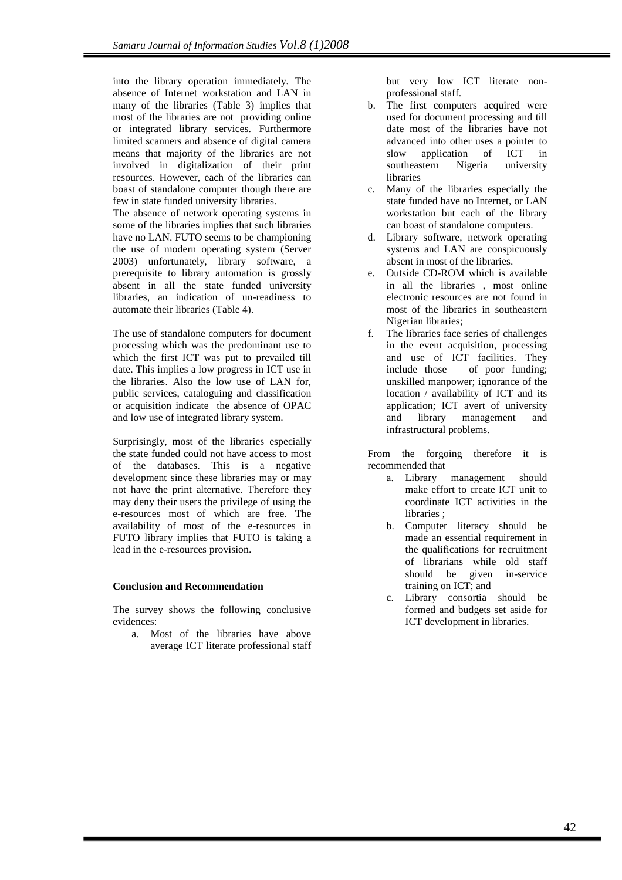into the library operation immediately. The absence of Internet workstation and LAN in many of the libraries (Table 3) implies that most of the libraries are not providing online or integrated library services. Furthermore limited scanners and absence of digital camera means that majority of the libraries are not involved in digitalization of their print resources. However, each of the libraries can boast of standalone computer though there are few in state funded university libraries.

The absence of network operating systems in some of the libraries implies that such libraries have no LAN. FUTO seems to be championing the use of modern operating system (Server 2003) unfortunately, library software, a prerequisite to library automation is grossly absent in all the state funded university libraries, an indication of un-readiness to automate their libraries (Table 4).

The use of standalone computers for document processing which was the predominant use to which the first ICT was put to prevailed till date. This implies a low progress in ICT use in the libraries. Also the low use of LAN for, public services, cataloguing and classification or acquisition indicate the absence of OPAC and low use of integrated library system.

Surprisingly, most of the libraries especially the state funded could not have access to most of the databases. This is a negative development since these libraries may or may not have the print alternative. Therefore they may deny their users the privilege of using the e-resources most of which are free. The availability of most of the e-resources in FUTO library implies that FUTO is taking a lead in the e-resources provision.

# **Conclusion and Recommendation**

The survey shows the following conclusive evidences:

a. Most of the libraries have above average ICT literate professional staff but very low ICT literate nonprofessional staff.

- b. The first computers acquired were used for document processing and till date most of the libraries have not advanced into other uses a pointer to slow application of ICT in southeastern Nigeria university libraries
- c. Many of the libraries especially the state funded have no Internet, or LAN workstation but each of the library can boast of standalone computers.
- d. Library software, network operating systems and LAN are conspicuously absent in most of the libraries.
- e. Outside CD-ROM which is available in all the libraries , most online electronic resources are not found in most of the libraries in southeastern Nigerian libraries;
- f. The libraries face series of challenges in the event acquisition, processing and use of ICT facilities. They include those of poor funding; unskilled manpower; ignorance of the location / availability of ICT and its application; ICT avert of university and library management and infrastructural problems.

From the forgoing therefore it is recommended that

- a. Library management should make effort to create ICT unit to coordinate ICT activities in the libraries ;
- b. Computer literacy should be made an essential requirement in the qualifications for recruitment of librarians while old staff should be given in-service training on ICT; and
- c. Library consortia should be formed and budgets set aside for ICT development in libraries.